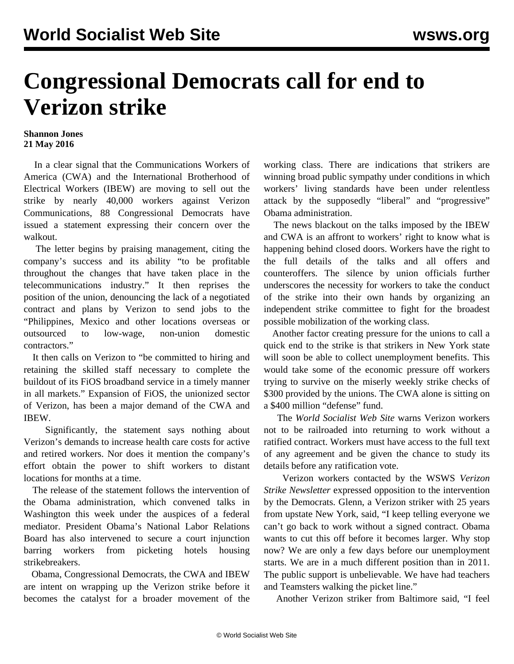## **Congressional Democrats call for end to Verizon strike**

## **Shannon Jones 21 May 2016**

 In a clear signal that the Communications Workers of America (CWA) and the International Brotherhood of Electrical Workers (IBEW) are moving to sell out the strike by nearly 40,000 workers against Verizon Communications, 88 Congressional Democrats have issued a statement expressing their concern over the walkout.

 The letter begins by praising management, citing the company's success and its ability "to be profitable throughout the changes that have taken place in the telecommunications industry." It then reprises the position of the union, denouncing the lack of a negotiated contract and plans by Verizon to send jobs to the "Philippines, Mexico and other locations overseas or outsourced to low-wage, non-union domestic contractors."

 It then calls on Verizon to "be committed to hiring and retaining the skilled staff necessary to complete the buildout of its FiOS broadband service in a timely manner in all markets." Expansion of FiOS, the unionized sector of Verizon, has been a major demand of the CWA and IBEW.

 Significantly, the statement says nothing about Verizon's demands to increase health care costs for active and retired workers. Nor does it mention the company's effort obtain the power to shift workers to distant locations for months at a time.

 The release of the statement follows the intervention of the Obama administration, which convened talks in Washington this week under the auspices of a federal mediator. President Obama's National Labor Relations Board has also intervened to secure a court injunction barring workers from picketing hotels housing strikebreakers.

 Obama, Congressional Democrats, the CWA and IBEW are intent on wrapping up the Verizon strike before it becomes the catalyst for a broader movement of the working class. There are indications that strikers are winning broad public sympathy under conditions in which workers' living standards have been under relentless attack by the supposedly "liberal" and "progressive" Obama administration.

 The news blackout on the talks imposed by the IBEW and CWA is an affront to workers' right to know what is happening behind closed doors. Workers have the right to the full details of the talks and all offers and counteroffers. The silence by union officials further underscores the necessity for workers to take the conduct of the strike into their own hands by organizing an independent strike committee to fight for the broadest possible mobilization of the working class.

 Another factor creating pressure for the unions to call a quick end to the strike is that strikers in New York state will soon be able to collect unemployment benefits. This would take some of the economic pressure off workers trying to survive on the miserly weekly strike checks of \$300 provided by the unions. The CWA alone is sitting on a \$400 million "defense" fund.

 The *World Socialist Web Site* warns Verizon workers not to be railroaded into returning to work without a ratified contract. Workers must have access to the full text of any agreement and be given the chance to study its details before any ratification vote.

 Verizon workers contacted by the WSWS *Verizon Strike Newsletter* expressed opposition to the intervention by the Democrats. Glenn, a Verizon striker with 25 years from upstate New York, said, "I keep telling everyone we can't go back to work without a signed contract. Obama wants to cut this off before it becomes larger. Why stop now? We are only a few days before our unemployment starts. We are in a much different position than in 2011. The public support is unbelievable. We have had teachers and Teamsters walking the picket line."

Another Verizon striker from Baltimore said, "I feel